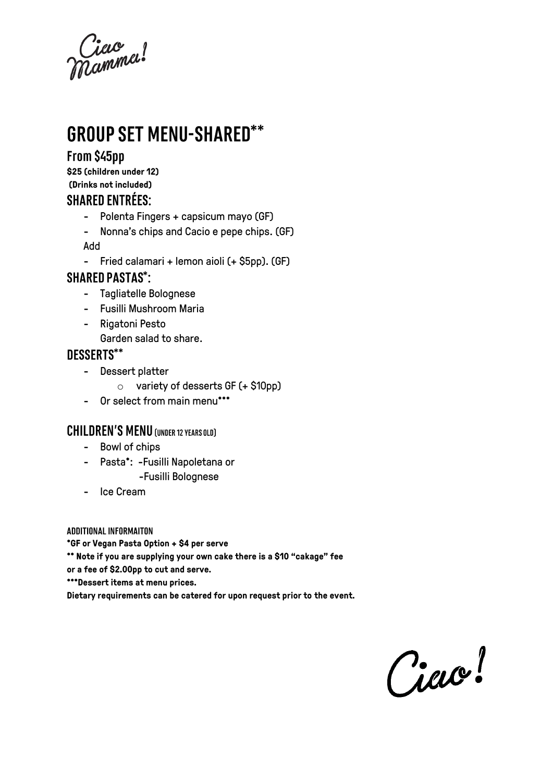Ciece<br>Mammel:

# **GROUP SET MENU-SHARED\*\***

### From \$45pp

**\$25 (children under 12) (Drinks not included) SHARFD FNTRÉFS:** 

- Polenta Fingers + capsicum mayo (GF)
- Nonna's chips and Cacio e pepe chips. (GF) Add
- Fried calamari + lemon aioli (+ \$5pp). (GF)

#### **SHARED PASTAS\*:**

- Tagliatelle Bolognese
- Fusilli Mushroom Maria
- Rigatoni Pesto
	- Garden salad to share.

### **DESSERTS\*\***

- Dessert platter
	- o variety of desserts GF (+ \$10pp)
- Or select from main menu\*\*\*

#### **CHILDREN'S MENU (UNDER 12 YEARS OLD)**

- Bowl of chips
- Pasta\*: -Fusilli Napoletana or -Fusilli Bolognese
- Ice Cream

**ADDITIONAL INFORMAITON** 

**\*GF or Vegan Pasta Option + \$4 per serve**

**\*\* Note if you are supplying your own cake there is a \$10 "cakage" fee** 

**or a fee of \$2.00pp to cut and serve.**

**\*\*\*Dessert items at menu prices.**

**Dietary requirements can be catered for upon request prior to the event.** 

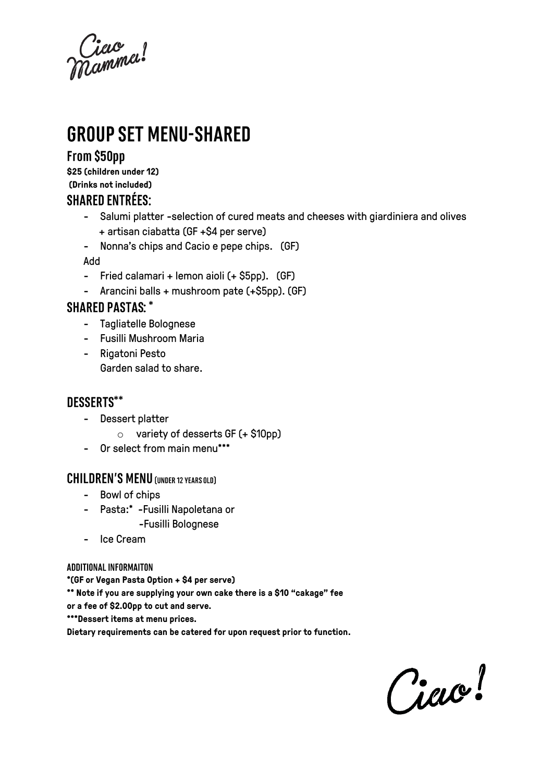Ciac<br>Namma!

# **GROUP SET MENU-SHARED**

### From \$50pp

**\$25 (children under 12) (Drinks not included) SHARFD FNTRÉFS:** 

- Salumi platter -selection of cured meats and cheeses with giardiniera and olives + artisan ciabatta (GF +\$4 per serve)
- Nonna's chips and Cacio e pepe chips. (GF)

Add

- Fried calamari + lemon aioli (+ \$5pp). (GF)
- Arancini balls + mushroom pate (+\$5pp). (GF)

#### **SHARED PASTAS: \***

- Tagliatelle Bolognese
- Fusilli Mushroom Maria
- Rigatoni Pesto Garden salad to share.

#### DESSERTS\*\*

- Dessert platter
	- o variety of desserts GF (+ \$10pp)
- Or select from main menu\*\*\*

### **CHILDREN'S MENU (UNDER 12 YEARS OLD)**

- Bowl of chips
- Pasta:\* -Fusilli Napoletana or -Fusilli Bolognese
- Ice Cream

#### **ADDITIONAL INFORMAITON**

**\*(GF or Vegan Pasta Option + \$4 per serve)**

**\*\* Note if you are supplying your own cake there is a \$10 "cakage" fee** 

**or a fee of \$2.00pp to cut and serve.**

**\*\*\*Dessert items at menu prices.**

**Dietary requirements can be catered for upon request prior to function.** 

Ciac!